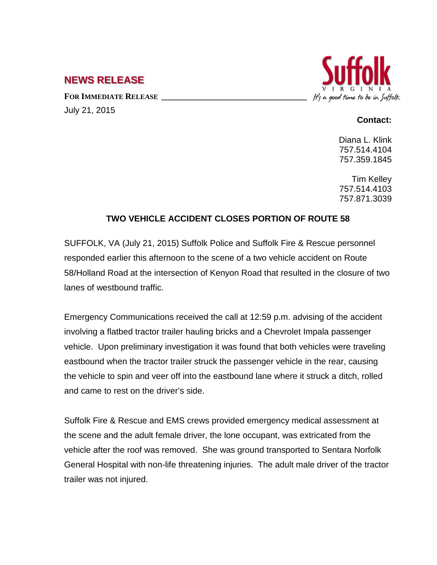## **NEWS RELEASE**

FOR **IMMEDIATE RELEASE** July 21, 2015



## **Contact:**

Diana L. Klink 757.514.4104 757.359.1845

Tim Kelley 757.514.4103 757.871.3039

## **TWO VEHICLE ACCIDENT CLOSES PORTION OF ROUTE 58**

SUFFOLK, VA (July 21, 2015) Suffolk Police and Suffolk Fire & Rescue personnel responded earlier this afternoon to the scene of a two vehicle accident on Route 58/Holland Road at the intersection of Kenyon Road that resulted in the closure of two lanes of westbound traffic.

Emergency Communications received the call at 12:59 p.m. advising of the accident involving a flatbed tractor trailer hauling bricks and a Chevrolet Impala passenger vehicle. Upon preliminary investigation it was found that both vehicles were traveling eastbound when the tractor trailer struck the passenger vehicle in the rear, causing the vehicle to spin and veer off into the eastbound lane where it struck a ditch, rolled and came to rest on the driver's side.

Suffolk Fire & Rescue and EMS crews provided emergency medical assessment at the scene and the adult female driver, the lone occupant, was extricated from the vehicle after the roof was removed. She was ground transported to Sentara Norfolk General Hospital with non-life threatening injuries. The adult male driver of the tractor trailer was not injured.